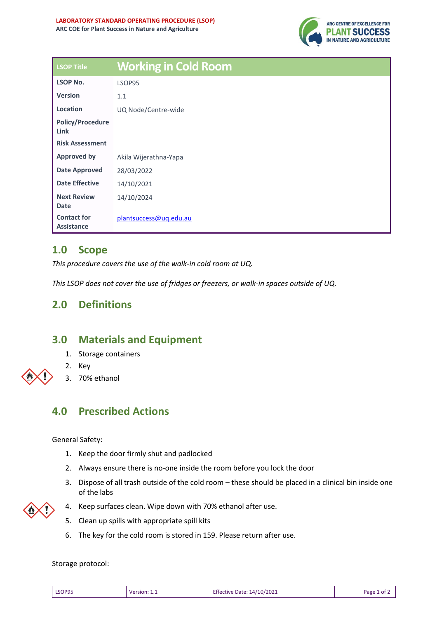

| <b>LSOP Title</b>                       | <b>Working in Cold Room</b> |
|-----------------------------------------|-----------------------------|
| <b>LSOP No.</b>                         | LSOP95                      |
| <b>Version</b>                          | 1.1                         |
| Location                                | UQ Node/Centre-wide         |
| <b>Policy/Procedure</b><br>Link         |                             |
| <b>Risk Assessment</b>                  |                             |
| <b>Approved by</b>                      | Akila Wijerathna-Yapa       |
| <b>Date Approved</b>                    | 28/03/2022                  |
| <b>Date Effective</b>                   | 14/10/2021                  |
| <b>Next Review</b><br><b>Date</b>       | 14/10/2024                  |
| <b>Contact for</b><br><b>Assistance</b> | plantsuccess@uq.edu.au      |

## **1.0 Scope**

*This procedure covers the use of the walk-in cold room at UQ.* 

*This LSOP does not cover the use of fridges or freezers, or walk-in spaces outside of UQ.*

# **2.0 Definitions**

### **3.0 Materials and Equipment**

- 1. Storage containers
- 2. Key
- 3. 70% ethanol

# **4.0 Prescribed Actions**

General Safety:

- 1. Keep the door firmly shut and padlocked
- 2. Always ensure there is no-one inside the room before you lock the door
- 3. Dispose of all trash outside of the cold room these should be placed in a clinical bin inside one of the labs



- 4. Keep surfaces clean. Wipe down with 70% ethanol after use.
- 5. Clean up spills with appropriate spill kits
- 6. The key for the cold room is stored in 159. Please return after use.

#### Storage protocol:

| LSOP95 | Version:<br>________ | Effective Date: 14/10/2021 | Раре<br>∩Ť |
|--------|----------------------|----------------------------|------------|
|--------|----------------------|----------------------------|------------|